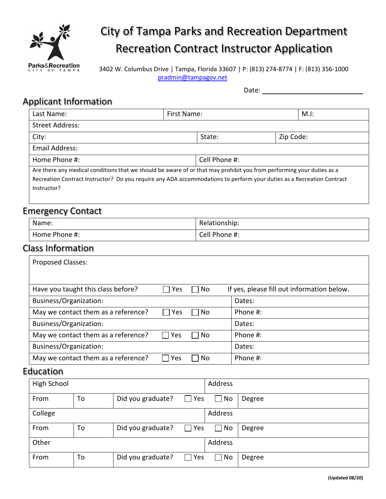

# City of Tampa Parks and Recreation Department Recreation Contract Instructor Application

3402 W. Columbus Drive | Tampa, Florida 33607 | P: (813) 274-8774 | F: (813) 356-1000 [pradmin@tampagov.net](mailto:pradmin@tampagov.net?subject=Contract%20Instructor%20Application)

Date:

### Applicant Information

| policant information.                                                                                                 |               |           |         |  |
|-----------------------------------------------------------------------------------------------------------------------|---------------|-----------|---------|--|
| Last Name:                                                                                                            | First Name:   |           | $M.l$ : |  |
| <b>Street Address:</b>                                                                                                |               |           |         |  |
| City:                                                                                                                 | State:        | Zip Code: |         |  |
| Email Address:                                                                                                        |               |           |         |  |
| Home Phone #:                                                                                                         | Cell Phone #: |           |         |  |
| Are there any medical conditions that we should be aware of or that may prohibit you from performing your duties as a |               |           |         |  |

Recreation Contract Instructor? Do you require any ADA accommodations to perform your duties as a Recreation Contract Instructor?

#### Emergency Contact

| $-$<br>____<br>Name: | Relationship: |
|----------------------|---------------|
| Home Phone #:        | Cell Phone #: |

#### Class Information

| <b>Proposed Classes:</b>            |     |    |                                            |
|-------------------------------------|-----|----|--------------------------------------------|
|                                     |     |    |                                            |
|                                     |     |    |                                            |
| Have you taught this class before?  | Yes | No | If yes, please fill out information below. |
| Business/Organization:              |     |    | Dates:                                     |
| May we contact them as a reference? | Yes | No | Phone #:                                   |
| Business/Organization:              |     |    | Dates:                                     |
| May we contact them as a reference? | Yes | No | Phone #:                                   |
| Business/Organization:              |     |    | Dates:                                     |
| May we contact them as a reference? | Yes | No | Phone #:                                   |
| <b>Education</b>                    |     |    |                                            |
| High School                         |     |    | <b>Addrocc</b>                             |

| High School |    |                   |            | Address |        |
|-------------|----|-------------------|------------|---------|--------|
| From        | To | Did you graduate? | $\Box$ Yes | No      | Degree |
| College     |    |                   |            | Address |        |
| From        | To | Did you graduate? | $\Box$ Yes | No      | Degree |
| Other       |    |                   |            | Address |        |
| From        | To | Did you graduate? | $\Box$ Yes | No      | Degree |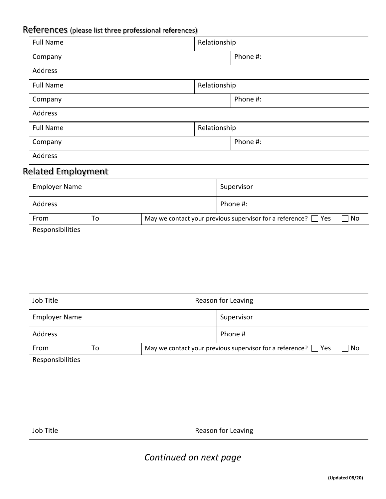## References (please list three professional references)

| <b>Full Name</b> | Relationship |  |  |
|------------------|--------------|--|--|
| Company          | Phone #:     |  |  |
| Address          |              |  |  |
| <b>Full Name</b> | Relationship |  |  |
| Company          | Phone #:     |  |  |
| Address          |              |  |  |
| <b>Full Name</b> | Relationship |  |  |
| Company          | Phone #:     |  |  |
| Address          |              |  |  |

### Related Employment

| <b>Employer Name</b> |    |          |  | Supervisor                                                                |    |
|----------------------|----|----------|--|---------------------------------------------------------------------------|----|
| Address              |    | Phone #: |  |                                                                           |    |
| From                 | To |          |  | May we contact your previous supervisor for a reference? $\Box$ Yes       | No |
| Responsibilities     |    |          |  |                                                                           |    |
| Job Title            |    |          |  | Reason for Leaving                                                        |    |
| <b>Employer Name</b> |    |          |  | Supervisor                                                                |    |
| Address              |    |          |  | Phone #                                                                   |    |
| From                 | To |          |  | May we contact your previous supervisor for a reference? $\square$<br>Yes | No |
| Responsibilities     |    |          |  |                                                                           |    |
|                      |    |          |  |                                                                           |    |

### *Continued on next page*